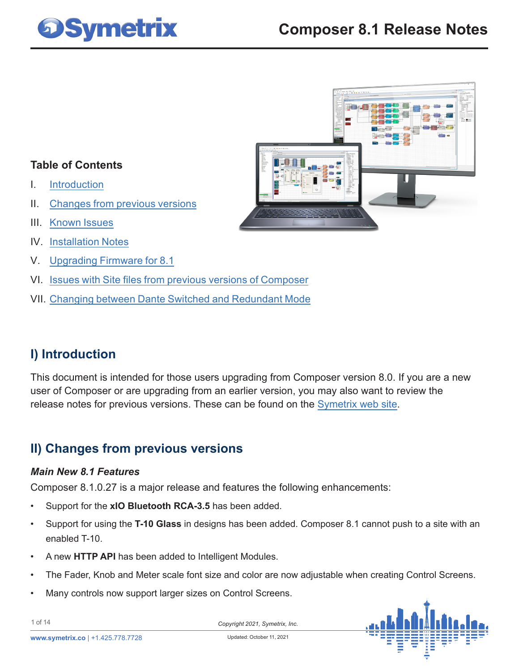



### **Table of Contents**

- I. Introduction
- II. Changes from previous versions
- III. [Known Issues](#page-4-0)
- IV. [Installation Notes](#page-8-0)
- V. [Upgrading Firmware for 8.1](#page-9-0)
- VI. [Issues with Site files from previous versions of Composer](#page-12-0)
- VII. [Changing between Dante Switched and Redundant Mode](#page-13-0)

### **I) Introduction**

This document is intended for those users upgrading from Composer version 8.0. If you are a new user of Composer or are upgrading from an earlier version, you may also want to review the release notes for previous versions. These can be found on the Symetrix web site.

### **II) Changes from previous versions**

### *Main New 8.1 Features*

Composer 8.1.0.27 is a major release and features the following enhancements:

- Support for the **xIO Bluetooth RCA-3.5** has been added.
- Support for using the **T-10 Glass** in designs has been added. Composer 8.1 cannot push to a site with an enabled T-10.
- A new **HTTP API** has been added to Intelligent Modules.
- The Fader, Knob and Meter scale font size and color are now adjustable when creating Control Screens.
- Many controls now support larger sizes on Control Screens.



1 of 14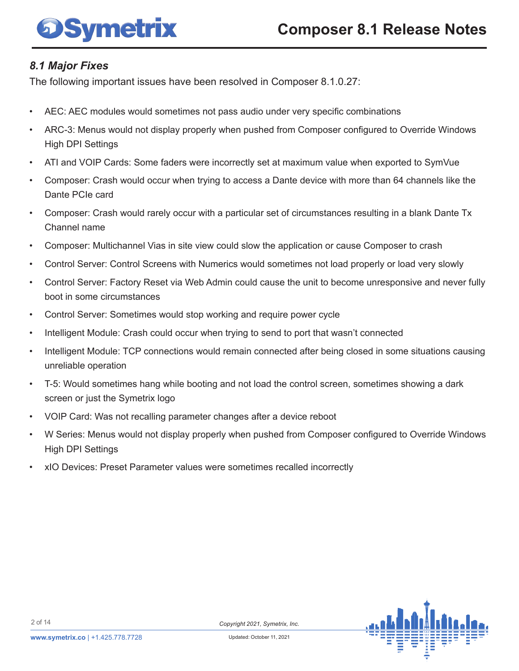### *8.1 Major Fixes*

The following important issues have been resolved in Composer 8.1.0.27:

- AEC: AEC modules would sometimes not pass audio under very specific combinations
- ARC-3: Menus would not display properly when pushed from Composer configured to Override Windows High DPI Settings
- ATI and VOIP Cards: Some faders were incorrectly set at maximum value when exported to SymVue
- Composer: Crash would occur when trying to access a Dante device with more than 64 channels like the Dante PCIe card
- Composer: Crash would rarely occur with a particular set of circumstances resulting in a blank Dante Tx Channel name
- Composer: Multichannel Vias in site view could slow the application or cause Composer to crash
- Control Server: Control Screens with Numerics would sometimes not load properly or load very slowly
- Control Server: Factory Reset via Web Admin could cause the unit to become unresponsive and never fully boot in some circumstances
- Control Server: Sometimes would stop working and require power cycle
- Intelligent Module: Crash could occur when trying to send to port that wasn't connected
- Intelligent Module: TCP connections would remain connected after being closed in some situations causing unreliable operation
- T-5: Would sometimes hang while booting and not load the control screen, sometimes showing a dark screen or just the Symetrix logo
- VOIP Card: Was not recalling parameter changes after a device reboot
- W Series: Menus would not display properly when pushed from Composer configured to Override Windows High DPI Settings
- xIO Devices: Preset Parameter values were sometimes recalled incorrectly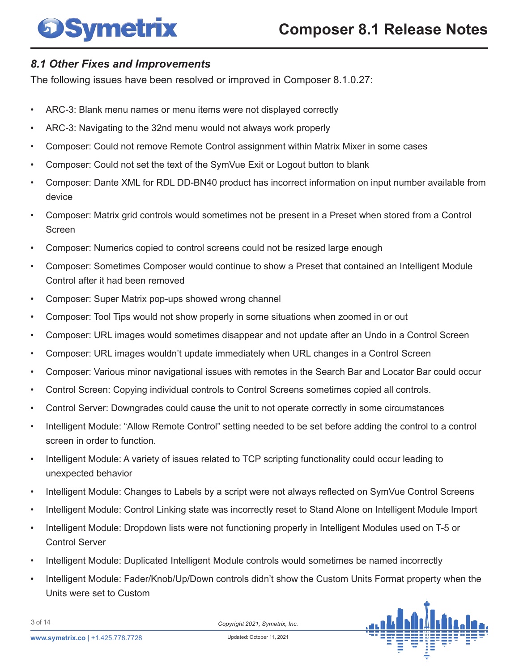### *8.1 Other Fixes and Improvements*

The following issues have been resolved or improved in Composer 8.1.0.27:

- ARC-3: Blank menu names or menu items were not displayed correctly
- ARC-3: Navigating to the 32nd menu would not always work properly
- Composer: Could not remove Remote Control assignment within Matrix Mixer in some cases
- Composer: Could not set the text of the SymVue Exit or Logout button to blank
- Composer: Dante XML for RDL DD-BN40 product has incorrect information on input number available from device
- Composer: Matrix grid controls would sometimes not be present in a Preset when stored from a Control Screen
- Composer: Numerics copied to control screens could not be resized large enough
- Composer: Sometimes Composer would continue to show a Preset that contained an Intelligent Module Control after it had been removed
- Composer: Super Matrix pop-ups showed wrong channel
- Composer: Tool Tips would not show properly in some situations when zoomed in or out
- Composer: URL images would sometimes disappear and not update after an Undo in a Control Screen
- Composer: URL images wouldn't update immediately when URL changes in a Control Screen
- Composer: Various minor navigational issues with remotes in the Search Bar and Locator Bar could occur
- Control Screen: Copying individual controls to Control Screens sometimes copied all controls.
- Control Server: Downgrades could cause the unit to not operate correctly in some circumstances
- Intelligent Module: "Allow Remote Control" setting needed to be set before adding the control to a control screen in order to function.
- Intelligent Module: A variety of issues related to TCP scripting functionality could occur leading to unexpected behavior
- Intelligent Module: Changes to Labels by a script were not always reflected on SymVue Control Screens
- Intelligent Module: Control Linking state was incorrectly reset to Stand Alone on Intelligent Module Import
- Intelligent Module: Dropdown lists were not functioning properly in Intelligent Modules used on T-5 or Control Server
- Intelligent Module: Duplicated Intelligent Module controls would sometimes be named incorrectly
- Intelligent Module: Fader/Knob/Up/Down controls didn't show the Custom Units Format property when the Units were set to Custom



3 of 14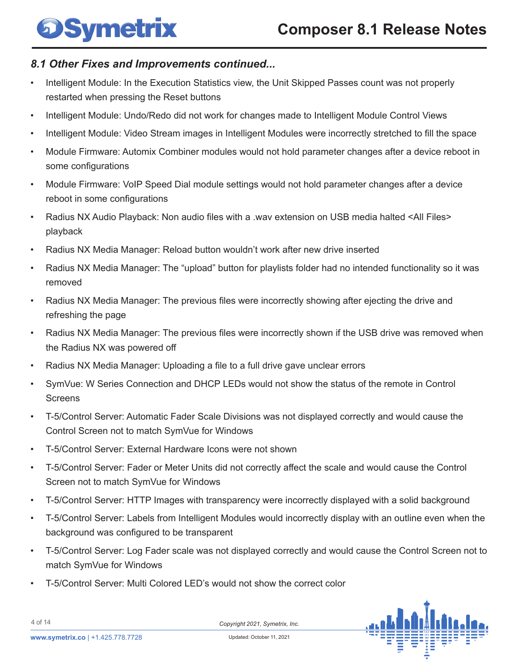### *8.1 Other Fixes and Improvements continued...*

- Intelligent Module: In the Execution Statistics view, the Unit Skipped Passes count was not properly restarted when pressing the Reset buttons
- Intelligent Module: Undo/Redo did not work for changes made to Intelligent Module Control Views
- Intelligent Module: Video Stream images in Intelligent Modules were incorrectly stretched to fill the space
- Module Firmware: Automix Combiner modules would not hold parameter changes after a device reboot in some configurations
- Module Firmware: VoIP Speed Dial module settings would not hold parameter changes after a device reboot in some configurations
- Radius NX Audio Playback: Non audio files with a .wav extension on USB media halted <All Files> playback
- Radius NX Media Manager: Reload button wouldn't work after new drive inserted
- Radius NX Media Manager: The "upload" button for playlists folder had no intended functionality so it was removed
- Radius NX Media Manager: The previous files were incorrectly showing after ejecting the drive and refreshing the page
- Radius NX Media Manager: The previous files were incorrectly shown if the USB drive was removed when the Radius NX was powered off
- Radius NX Media Manager: Uploading a file to a full drive gave unclear errors
- SymVue: W Series Connection and DHCP LEDs would not show the status of the remote in Control **Screens**
- T-5/Control Server: Automatic Fader Scale Divisions was not displayed correctly and would cause the Control Screen not to match SymVue for Windows
- T-5/Control Server: External Hardware Icons were not shown
- T-5/Control Server: Fader or Meter Units did not correctly affect the scale and would cause the Control Screen not to match SymVue for Windows
- T-5/Control Server: HTTP Images with transparency were incorrectly displayed with a solid background
- T-5/Control Server: Labels from Intelligent Modules would incorrectly display with an outline even when the background was configured to be transparent
- T-5/Control Server: Log Fader scale was not displayed correctly and would cause the Control Screen not to match SymVue for Windows
- T-5/Control Server: Multi Colored LED's would not show the correct color



4 of 14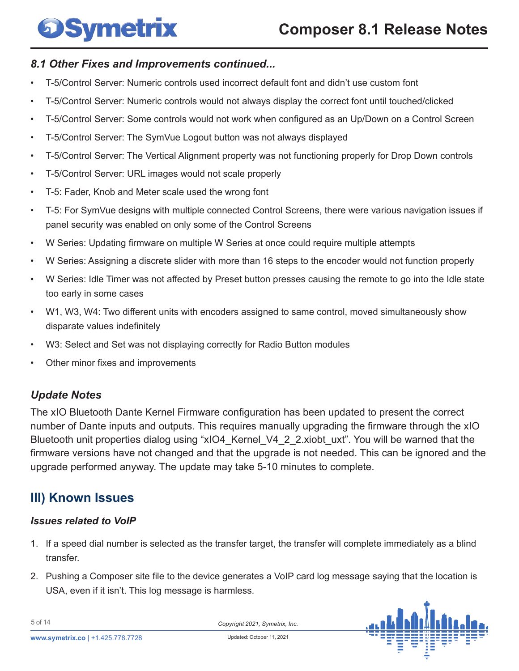### <span id="page-4-0"></span>*8.1 Other Fixes and Improvements continued...*

- T-5/Control Server: Numeric controls used incorrect default font and didn't use custom font
- T-5/Control Server: Numeric controls would not always display the correct font until touched/clicked
- T-5/Control Server: Some controls would not work when configured as an Up/Down on a Control Screen
- T-5/Control Server: The SymVue Logout button was not always displayed
- T-5/Control Server: The Vertical Alignment property was not functioning properly for Drop Down controls
- T-5/Control Server: URL images would not scale properly
- T-5: Fader, Knob and Meter scale used the wrong font
- T-5: For SymVue designs with multiple connected Control Screens, there were various navigation issues if panel security was enabled on only some of the Control Screens
- W Series: Updating firmware on multiple W Series at once could require multiple attempts
- W Series: Assigning a discrete slider with more than 16 steps to the encoder would not function properly
- W Series: Idle Timer was not affected by Preset button presses causing the remote to go into the Idle state too early in some cases
- W1, W3, W4: Two different units with encoders assigned to same control, moved simultaneously show disparate values indefinitely
- W3: Select and Set was not displaying correctly for Radio Button modules
- Other minor fixes and improvements

### *Update Notes*

The xIO Bluetooth Dante Kernel Firmware configuration has been updated to present the correct number of Dante inputs and outputs. This requires manually upgrading the firmware through the xIO Bluetooth unit properties dialog using "xIO4 Kernel V4 2 2.xiobt uxt". You will be warned that the firmware versions have not changed and that the upgrade is not needed. This can be ignored and the upgrade performed anyway. The update may take 5-10 minutes to complete.

### **III) Known Issues**

#### *Issues related to VoIP*

- 1. If a speed dial number is selected as the transfer target, the transfer will complete immediately as a blind transfer.
- 2. Pushing a Composer site file to the device generates a VoIP card log message saying that the location is USA, even if it isn't. This log message is harmless.



5 of 14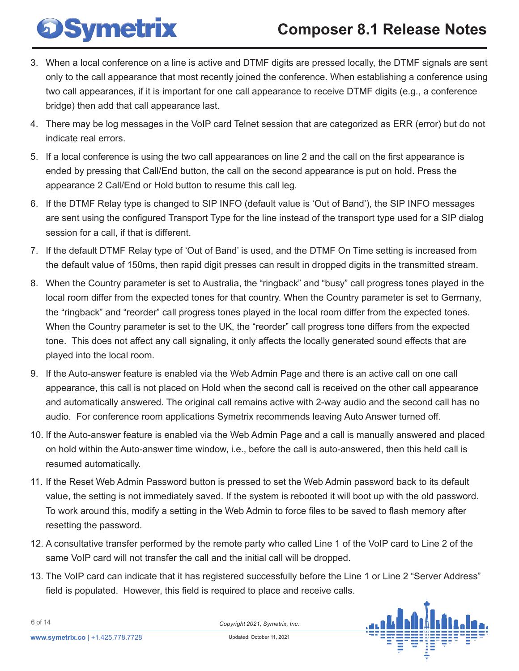## **Composer 8.1 Release Notes**

- 3. When a local conference on a line is active and DTMF digits are pressed locally, the DTMF signals are sent only to the call appearance that most recently joined the conference. When establishing a conference using two call appearances, if it is important for one call appearance to receive DTMF digits (e.g., a conference bridge) then add that call appearance last.
- 4. There may be log messages in the VoIP card Telnet session that are categorized as ERR (error) but do not indicate real errors.
- 5. If a local conference is using the two call appearances on line 2 and the call on the first appearance is ended by pressing that Call/End button, the call on the second appearance is put on hold. Press the appearance 2 Call/End or Hold button to resume this call leg.
- 6. If the DTMF Relay type is changed to SIP INFO (default value is 'Out of Band'), the SIP INFO messages are sent using the configured Transport Type for the line instead of the transport type used for a SIP dialog session for a call, if that is different.
- 7. If the default DTMF Relay type of 'Out of Band' is used, and the DTMF On Time setting is increased from the default value of 150ms, then rapid digit presses can result in dropped digits in the transmitted stream.
- 8. When the Country parameter is set to Australia, the "ringback" and "busy" call progress tones played in the local room differ from the expected tones for that country. When the Country parameter is set to Germany, the "ringback" and "reorder" call progress tones played in the local room differ from the expected tones. When the Country parameter is set to the UK, the "reorder" call progress tone differs from the expected tone. This does not affect any call signaling, it only affects the locally generated sound effects that are played into the local room.
- 9. If the Auto-answer feature is enabled via the Web Admin Page and there is an active call on one call appearance, this call is not placed on Hold when the second call is received on the other call appearance and automatically answered. The original call remains active with 2-way audio and the second call has no audio. For conference room applications Symetrix recommends leaving Auto Answer turned off.
- 10. If the Auto-answer feature is enabled via the Web Admin Page and a call is manually answered and placed on hold within the Auto-answer time window, i.e., before the call is auto-answered, then this held call is resumed automatically.
- 11. If the Reset Web Admin Password button is pressed to set the Web Admin password back to its default value, the setting is not immediately saved. If the system is rebooted it will boot up with the old password. To work around this, modify a setting in the Web Admin to force files to be saved to flash memory after resetting the password.
- 12. A consultative transfer performed by the remote party who called Line 1 of the VoIP card to Line 2 of the same VoIP card will not transfer the call and the initial call will be dropped.
- 13. The VoIP card can indicate that it has registered successfully before the Line 1 or Line 2 "Server Address" field is populated. However, this field is required to place and receive calls.



**DSymetrix**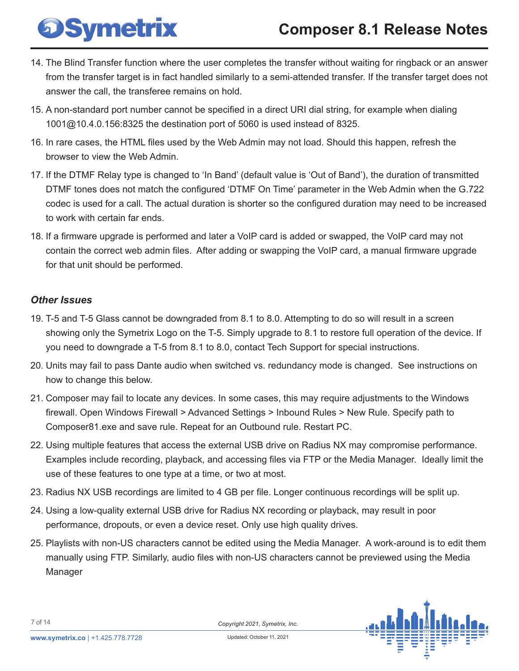## **Composer 8.1 Release Notes**

- 14. The Blind Transfer function where the user completes the transfer without waiting for ringback or an answer from the transfer target is in fact handled similarly to a semi-attended transfer. If the transfer target does not answer the call, the transferee remains on hold.
- 15. A non-standard port number cannot be specified in a direct URI dial string, for example when dialing 1001@10.4.0.156:8325 the destination port of 5060 is used instead of 8325.
- 16. In rare cases, the HTML files used by the Web Admin may not load. Should this happen, refresh the browser to view the Web Admin.
- 17. If the DTMF Relay type is changed to 'In Band' (default value is 'Out of Band'), the duration of transmitted DTMF tones does not match the configured 'DTMF On Time' parameter in the Web Admin when the G.722 codec is used for a call. The actual duration is shorter so the configured duration may need to be increased to work with certain far ends.
- 18. If a firmware upgrade is performed and later a VoIP card is added or swapped, the VoIP card may not contain the correct web admin files. After adding or swapping the VoIP card, a manual firmware upgrade for that unit should be performed.

#### *Other Issues*

**DSymetrix** 

- 19. T-5 and T-5 Glass cannot be downgraded from 8.1 to 8.0. Attempting to do so will result in a screen showing only the Symetrix Logo on the T-5. Simply upgrade to 8.1 to restore full operation of the device. If you need to downgrade a T-5 from 8.1 to 8.0, contact Tech Support for special instructions.
- 20. Units may fail to pass Dante audio when switched vs. redundancy mode is changed. See instructions on how to change this below.
- 21. Composer may fail to locate any devices. In some cases, this may require adjustments to the Windows firewall. Open Windows Firewall > Advanced Settings > Inbound Rules > New Rule. Specify path to Composer81.exe and save rule. Repeat for an Outbound rule. Restart PC.
- 22. Using multiple features that access the external USB drive on Radius NX may compromise performance. Examples include recording, playback, and accessing files via FTP or the Media Manager. Ideally limit the use of these features to one type at a time, or two at most.
- 23. Radius NX USB recordings are limited to 4 GB per file. Longer continuous recordings will be split up.
- 24. Using a low-quality external USB drive for Radius NX recording or playback, may result in poor performance, dropouts, or even a device reset. Only use high quality drives.
- 25. Playlists with non-US characters cannot be edited using the Media Manager. A work-around is to edit them manually using FTP. Similarly, audio files with non-US characters cannot be previewed using the Media Manager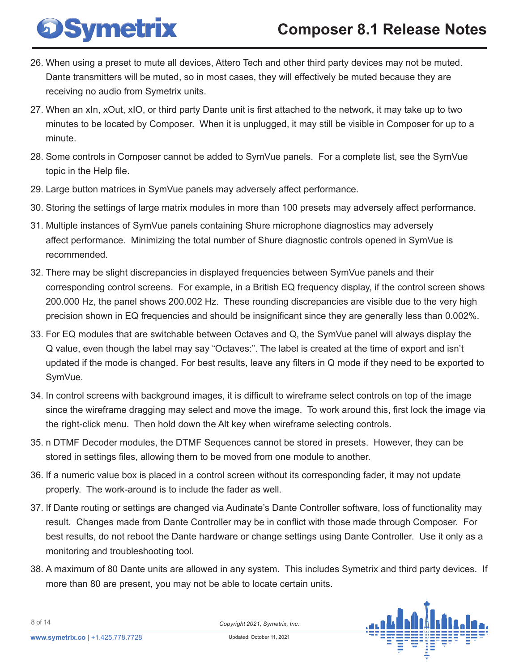## **Composer 8.1 Release Notes**

- 26. When using a preset to mute all devices, Attero Tech and other third party devices may not be muted. Dante transmitters will be muted, so in most cases, they will effectively be muted because they are receiving no audio from Symetrix units.
- 27. When an xIn, xOut, xIO, or third party Dante unit is first attached to the network, it may take up to two minutes to be located by Composer. When it is unplugged, it may still be visible in Composer for up to a minute.
- 28. Some controls in Composer cannot be added to SymVue panels. For a complete list, see the SymVue topic in the Help file.
- 29. Large button matrices in SymVue panels may adversely affect performance.

**DSymetrix** 

- 30. Storing the settings of large matrix modules in more than 100 presets may adversely affect performance.
- 31. Multiple instances of SymVue panels containing Shure microphone diagnostics may adversely affect performance. Minimizing the total number of Shure diagnostic controls opened in SymVue is recommended.
- 32. There may be slight discrepancies in displayed frequencies between SymVue panels and their corresponding control screens. For example, in a British EQ frequency display, if the control screen shows 200.000 Hz, the panel shows 200.002 Hz. These rounding discrepancies are visible due to the very high precision shown in EQ frequencies and should be insignificant since they are generally less than 0.002%.
- 33. For EQ modules that are switchable between Octaves and Q, the SymVue panel will always display the Q value, even though the label may say "Octaves:". The label is created at the time of export and isn't updated if the mode is changed. For best results, leave any filters in Q mode if they need to be exported to SymVue.
- 34. In control screens with background images, it is difficult to wireframe select controls on top of the image since the wireframe dragging may select and move the image. To work around this, first lock the image via the right-click menu. Then hold down the Alt key when wireframe selecting controls.
- 35. n DTMF Decoder modules, the DTMF Sequences cannot be stored in presets. However, they can be stored in settings files, allowing them to be moved from one module to another.
- 36. If a numeric value box is placed in a control screen without its corresponding fader, it may not update properly. The work-around is to include the fader as well.
- 37. If Dante routing or settings are changed via Audinate's Dante Controller software, loss of functionality may result. Changes made from Dante Controller may be in conflict with those made through Composer. For best results, do not reboot the Dante hardware or change settings using Dante Controller. Use it only as a monitoring and troubleshooting tool.
- 38. A maximum of 80 Dante units are allowed in any system. This includes Symetrix and third party devices. If more than 80 are present, you may not be able to locate certain units.

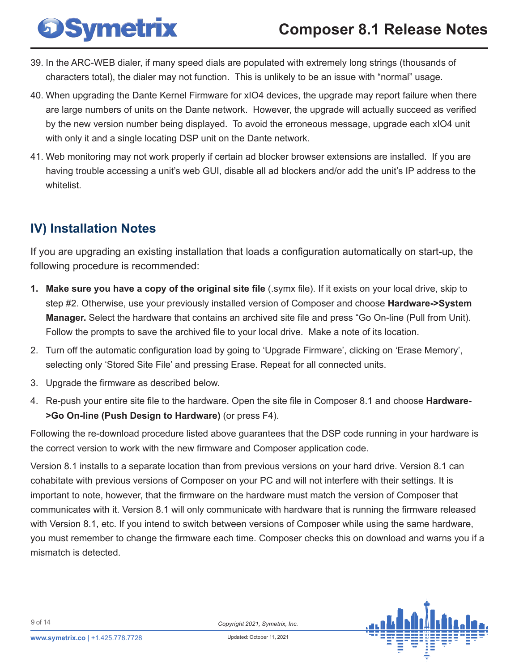<span id="page-8-0"></span>

- 39. In the ARC-WEB dialer, if many speed dials are populated with extremely long strings (thousands of characters total), the dialer may not function. This is unlikely to be an issue with "normal" usage.
- 40. When upgrading the Dante Kernel Firmware for xIO4 devices, the upgrade may report failure when there are large numbers of units on the Dante network. However, the upgrade will actually succeed as verified by the new version number being displayed. To avoid the erroneous message, upgrade each xIO4 unit with only it and a single locating DSP unit on the Dante network.
- 41. Web monitoring may not work properly if certain ad blocker browser extensions are installed. If you are having trouble accessing a unit's web GUI, disable all ad blockers and/or add the unit's IP address to the whitelist.

### **IV) Installation Notes**

If you are upgrading an existing installation that loads a configuration automatically on start-up, the following procedure is recommended:

- **1. Make sure you have a copy of the original site file** (.symx file). If it exists on your local drive, skip to step #2. Otherwise, use your previously installed version of Composer and choose **Hardware->System Manager.** Select the hardware that contains an archived site file and press "Go On-line (Pull from Unit). Follow the prompts to save the archived file to your local drive. Make a note of its location.
- 2. Turn off the automatic configuration load by going to 'Upgrade Firmware', clicking on 'Erase Memory', selecting only 'Stored Site File' and pressing Erase. Repeat for all connected units.
- 3. Upgrade the firmware as described below.
- 4. Re-push your entire site file to the hardware. Open the site file in Composer 8.1 and choose **Hardware- >Go On-line (Push Design to Hardware)** (or press F4).

Following the re-download procedure listed above guarantees that the DSP code running in your hardware is the correct version to work with the new firmware and Composer application code.

Version 8.1 installs to a separate location than from previous versions on your hard drive. Version 8.1 can cohabitate with previous versions of Composer on your PC and will not interfere with their settings. It is important to note, however, that the firmware on the hardware must match the version of Composer that communicates with it. Version 8.1 will only communicate with hardware that is running the firmware released with Version 8.1, etc. If you intend to switch between versions of Composer while using the same hardware, you must remember to change the firmware each time. Composer checks this on download and warns you if a mismatch is detected.

*Copyright 2021, Symetrix, Inc.* Updated: October 11, 2021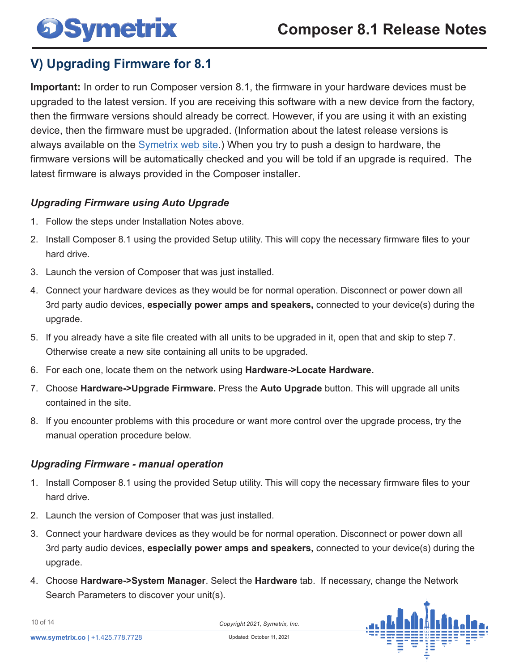### <span id="page-9-0"></span>**V) Upgrading Firmware for 8.1**

**Important:** In order to run Composer version 8.1, the firmware in your hardware devices must be upgraded to the latest version. If you are receiving this software with a new device from the factory, then the firmware versions should already be correct. However, if you are using it with an existing device, then the firmware must be upgraded. (Information about the latest release versions is always available on the Symetrix web site.) When you try to push a design to hardware, the firmware versions will be automatically checked and you will be told if an upgrade is required. The latest firmware is always provided in the Composer installer.

### *Upgrading Firmware using Auto Upgrade*

- 1. Follow the steps under Installation Notes above.
- 2. Install Composer 8.1 using the provided Setup utility. This will copy the necessary firmware files to your hard drive.
- 3. Launch the version of Composer that was just installed.
- 4. Connect your hardware devices as they would be for normal operation. Disconnect or power down all 3rd party audio devices, **especially power amps and speakers,** connected to your device(s) during the upgrade.
- 5. If you already have a site file created with all units to be upgraded in it, open that and skip to step 7. Otherwise create a new site containing all units to be upgraded.
- 6. For each one, locate them on the network using **Hardware->Locate Hardware.**
- 7. Choose **Hardware->Upgrade Firmware.** Press the **Auto Upgrade** button. This will upgrade all units contained in the site.
- 8. If you encounter problems with this procedure or want more control over the upgrade process, try the manual operation procedure below.

### *Upgrading Firmware - manual operation*

- 1. Install Composer 8.1 using the provided Setup utility. This will copy the necessary firmware files to your hard drive.
- 2. Launch the version of Composer that was just installed.
- 3. Connect your hardware devices as they would be for normal operation. Disconnect or power down all 3rd party audio devices, **especially power amps and speakers,** connected to your device(s) during the upgrade.
- 4. Choose **Hardware->System Manager**. Select the **Hardware** tab. If necessary, change the Network Search Parameters to discover your unit(s).



10 of 14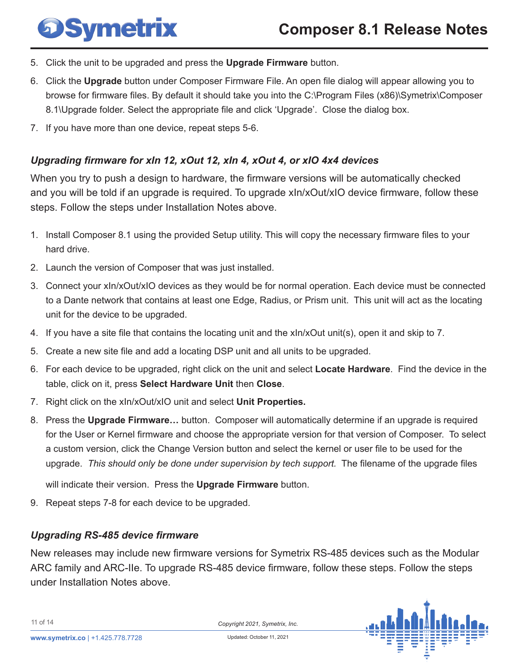- 5. Click the unit to be upgraded and press the **Upgrade Firmware** button.
- 6. Click the **Upgrade** button under Composer Firmware File. An open file dialog will appear allowing you to browse for firmware files. By default it should take you into the C:\Program Files (x86)\Symetrix\Composer 8.1\Upgrade folder. Select the appropriate file and click 'Upgrade'. Close the dialog box.
- 7. If you have more than one device, repeat steps 5-6.

#### *Upgrading firmware for xIn 12, xOut 12, xIn 4, xOut 4, or xIO 4x4 devices*

When you try to push a design to hardware, the firmware versions will be automatically checked and you will be told if an upgrade is required. To upgrade xIn/xOut/xIO device firmware, follow these steps. Follow the steps under Installation Notes above.

- 1. Install Composer 8.1 using the provided Setup utility. This will copy the necessary firmware files to your hard drive.
- 2. Launch the version of Composer that was just installed.
- 3. Connect your xIn/xOut/xIO devices as they would be for normal operation. Each device must be connected to a Dante network that contains at least one Edge, Radius, or Prism unit. This unit will act as the locating unit for the device to be upgraded.
- 4. If you have a site file that contains the locating unit and the xIn/xOut unit(s), open it and skip to 7.
- 5. Create a new site file and add a locating DSP unit and all units to be upgraded.
- 6. For each device to be upgraded, right click on the unit and select **Locate Hardware**. Find the device in the table, click on it, press **Select Hardware Unit** then **Close**.
- 7. Right click on the xIn/xOut/xIO unit and select **Unit Properties.**
- 8. Press the **Upgrade Firmware…** button. Composer will automatically determine if an upgrade is required for the User or Kernel firmware and choose the appropriate version for that version of Composer. To select a custom version, click the Change Version button and select the kernel or user file to be used for the upgrade. *This should only be done under supervision by tech support.* The filename of the upgrade files

will indicate their version. Press the **Upgrade Firmware** button.

9. Repeat steps 7-8 for each device to be upgraded.

#### *Upgrading RS-485 device firmware*

New releases may include new firmware versions for Symetrix RS-485 devices such as the Modular ARC family and ARC-IIe. To upgrade RS-485 device firmware, follow these steps. Follow the steps under Installation Notes above.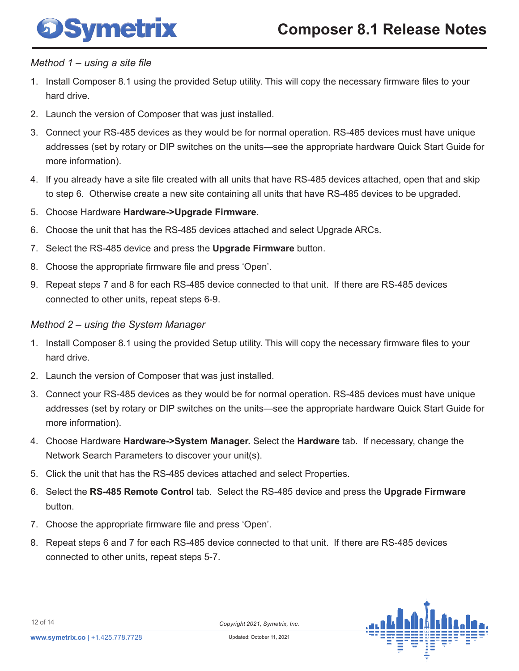

#### *Method 1 – using a site file*

- 1. Install Composer 8.1 using the provided Setup utility. This will copy the necessary firmware files to your hard drive.
- 2. Launch the version of Composer that was just installed.
- 3. Connect your RS-485 devices as they would be for normal operation. RS-485 devices must have unique addresses (set by rotary or DIP switches on the units—see the appropriate hardware Quick Start Guide for more information).
- 4. If you already have a site file created with all units that have RS-485 devices attached, open that and skip to step 6. Otherwise create a new site containing all units that have RS-485 devices to be upgraded.
- 5. Choose Hardware **Hardware->Upgrade Firmware.**
- 6. Choose the unit that has the RS-485 devices attached and select Upgrade ARCs.
- 7. Select the RS-485 device and press the **Upgrade Firmware** button.
- 8. Choose the appropriate firmware file and press 'Open'.
- 9. Repeat steps 7 and 8 for each RS-485 device connected to that unit. If there are RS-485 devices connected to other units, repeat steps 6-9.

### *Method 2 – using the System Manager*

- 1. Install Composer 8.1 using the provided Setup utility. This will copy the necessary firmware files to your hard drive.
- 2. Launch the version of Composer that was just installed.
- 3. Connect your RS-485 devices as they would be for normal operation. RS-485 devices must have unique addresses (set by rotary or DIP switches on the units—see the appropriate hardware Quick Start Guide for more information).
- 4. Choose Hardware **Hardware->System Manager.** Select the **Hardware** tab. If necessary, change the Network Search Parameters to discover your unit(s).
- 5. Click the unit that has the RS-485 devices attached and select Properties.
- 6. Select the **RS-485 Remote Control** tab. Select the RS-485 device and press the **Upgrade Firmware**  button.
- 7. Choose the appropriate firmware file and press 'Open'.
- 8. Repeat steps 6 and 7 for each RS-485 device connected to that unit. If there are RS-485 devices connected to other units, repeat steps 5-7.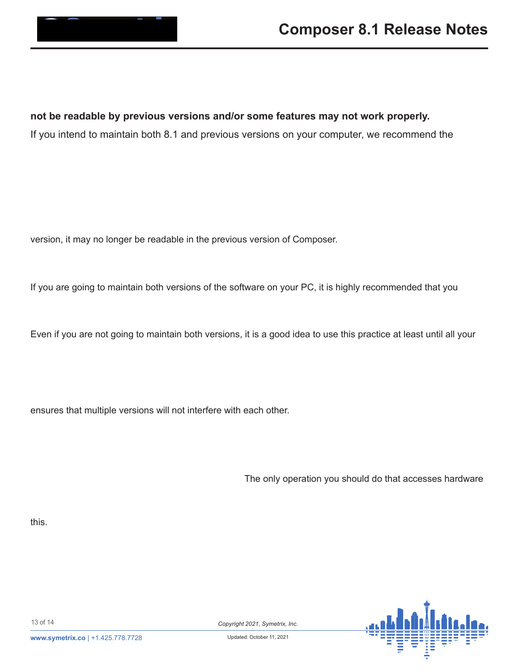### <span id="page-12-0"></span>9, , VVXHV ZLWK 6LWH ¿OHV IURP SUHYLRXV YHUVL

,QYHUVLRQ WKHVLWH¿OH V\P[¿OH IRUPD&WXKZOLVOOKEDHQUDH RSHQ DOO SUHYLRXV YHUVLRQ VLWH ¿OHV LQ YHUVLRQ RU ( **not be readable by previous versions and/or some features may not work properly.**

If you intend to maintain both 8.1 and previous versions on your computer, we recommend the IROORZLQJ JXLGHOLQHV WR PLQLPL]H GLI¿FXOWLHV ZLWK ¿OH

### A. %DFNXSDOOSUHYLRXVGHVLJQ¿OHV

,W LV UHFRPPHQGHG WKDW\RX EDFNXS\RXU YHUVLRQ RU HDUOLF LQVWDOOLQJ9HUVLRQ (YHQLIDOO HOVH JRHV FRPSOHWHO\ZUR UHFUHDWH\RXU ROG VHWXS 1RWH WKDW RQFH\RX VDYH D ¿OH ZLW version, it may no longer be readable in the previous version of Composer.

### B. 'RQ¶W XVH WKH VDPH ¿OH QDPHV IRU 9HUVLRQ GHVLJQ ¿O

If you are going to maintain both versions of the software on your PC, it is highly recommended that you LQFOXGH VRPHWKLQJLQ WKH ¿OH QDPH RI DOO SUHYLRXMLWHZDNVLRROX ZLOO EH DEOH WR WHOO WKH ¿OHV DSDUW LI WKH\ EHFRPH FR PLQJO

Even if you are not going to maintain both versions, it is a good idea to use this practice at least until all your GHVLJQ ¿OHV KDYH EHHQ FRQYHUWHG DQG \RX KDYH IXOO\ HPEUDFH

C. & KRRVH WKH GHIDXOW ORFDWLRQV ZKHQ LQVWDOOLQJ VRIWZ :KHQ\RXLQVWDOODQ\YHUVLRQRI&RPSRVHUVRIWZDUH DOOORZWK ensures that multiple versions will not interfere with each other.

D. 'R QRW XVH YHUVLRQ VRIWZDUH ZLWK SUHYLRXV YHUVLRQ

VRIWZDUH ZLWK YHUVLRQ ¿UPZDUH

7KH YHUVLRQV RIVRIWZDUH DTOMGonly Universition Wound that Waxdesses hardware ZLWK PLVPDWFKHG VRIWZDUH DQG ¿UPZDUH LV WR XSJUDGH WR WKH UHJDUGOHVV RIWKH ¿UPZDUH PLVPDWFK, IWKLV LV QRW WKH FDVH this.